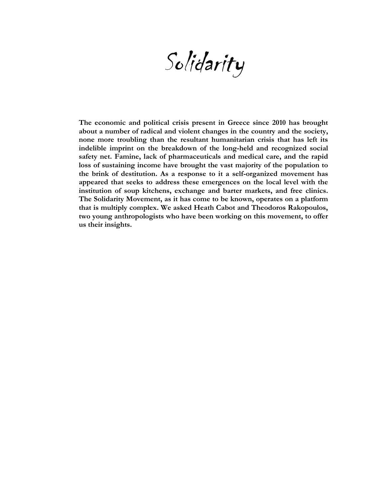Solidarity

**The economic and political crisis present in Greece since 2010 has brought about a number of radical and violent changes in the country and the society, none more troubling than the resultant humanitarian crisis that has left its indelible imprint on the breakdown of the long-held and recognized social safety net. Famine, lack of pharmaceuticals and medical care, and the rapid loss of sustaining income have brought the vast majority of the population to the brink of destitution. As a response to it a self-organized movement has appeared that seeks to address these emergences on the local level with the institution of soup kitchens, exchange and barter markets, and free clinics. The Solidarity Movement, as it has come to be known, operates on a platform that is multiply complex. We asked Heath Cabot and Theodoros Rakopoulos, two young anthropologists who have been working on this movement, to offer us their insights.**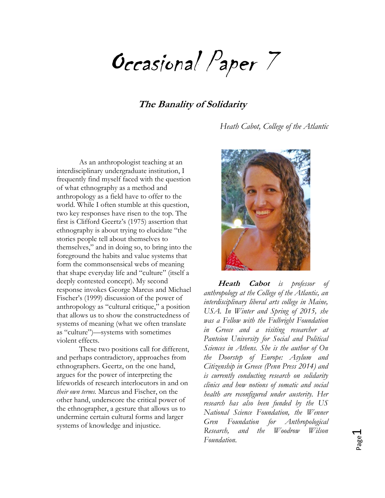Occasional Paper 7

# **The Banality of Solidarity**

*Heath Cabot, College of the Atlantic*

As an anthropologist teaching at an interdisciplinary undergraduate institution, I frequently find myself faced with the question of what ethnography as a method and anthropology as a field have to offer to the world. While I often stumble at this question, two key responses have risen to the top. The first is Clifford Geertz's (1975) assertion that ethnography is about trying to elucidate "the stories people tell about themselves to themselves," and in doing so, to bring into the foreground the habits and value systems that form the commonsensical webs of meaning that shape everyday life and "culture" (itself a deeply contested concept). My second response invokes George Marcus and Michael Fischer's (1999) discussion of the power of anthropology as "cultural critique," a position that allows us to show the constructedness of systems of meaning (what we often translate as "culture")—systems with sometimes violent effects.

These two positions call for different, and perhaps contradictory, approaches from ethnographers. Geertz, on the one hand, argues for the power of interpreting the lifeworlds of research interlocutors in and on *their own terms.* Marcus and Fischer, on the other hand, underscore the critical power of the ethnographer, a gesture that allows us to undermine certain cultural forms and larger systems of knowledge and injustice.



**Heath Cabot** is professor *anthropology at the College of the Atlantic, an interdisciplinary liberal arts college in Maine, USA. In Winter and Spring of 2015, she was a Fellow with the Fulbright Foundation in Greece and a visiting researcher at Panteion University for Social and Political Sciences in Athens. She is the author of On the Doorstep of Europe: Asylum and Citizenship in Greece (Penn Press 2014) and is currently conducting research on solidarity clinics and how notions of somatic and social health are reconfigured under austerity. Her research has also been funded by the US National Science Foundation, the Wenner Gren Foundation for Anthropological Research, and the Woodrow Wilson Foundation.*

Page  $\overline{\phantom{0}}$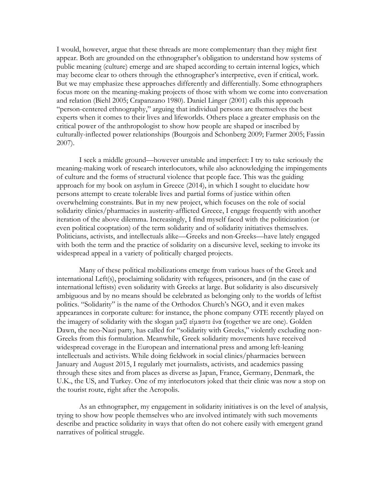I would, however, argue that these threads are more complementary than they might first appear. Both are grounded on the ethnographer's obligation to understand how systems of public meaning (culture) emerge and are shaped according to certain internal logics, which may become clear to others through the ethnographer's interpretive, even if critical, work. But we may emphasize these approaches differently and differentially. Some ethnographers focus more on the meaning-making projects of those with whom we come into conversation and relation (Biehl 2005; Crapanzano 1980). Daniel Linger (2001) calls this approach "person-centered ethnography," arguing that individual persons are themselves the best experts when it comes to their lives and lifeworlds. Others place a greater emphasis on the critical power of the anthropologist to show how people are shaped or inscribed by culturally-inflected power relationships (Bourgois and Schonberg 2009; Farmer 2005; Fassin 2007).

I seek a middle ground—however unstable and imperfect: I try to take seriously the meaning-making work of research interlocutors, while also acknowledging the impingements of culture and the forms of structural violence that people face. This was the guiding approach for my book on asylum in Greece (2014), in which I sought to elucidate how persons attempt to create tolerable lives and partial forms of justice within often overwhelming constraints. But in my new project, which focuses on the role of social solidarity clinics/pharmacies in austerity-afflicted Greece, I engage frequently with another iteration of the above dilemma. Increasingly, I find myself faced with the politicization (or even political cooptation) of the term solidarity and of solidarity initiatives themselves. Politicians, activists, and intellectuals alike—Greeks and non-Greeks—have lately engaged with both the term and the practice of solidarity on a discursive level, seeking to invoke its widespread appeal in a variety of politically charged projects.

Many of these political mobilizations emerge from various hues of the Greek and international Left(s), proclaiming solidarity with refugees, prisoners, and (in the case of international leftists) even solidarity with Greeks at large. But solidarity is also discursively ambiguous and by no means should be celebrated as belonging only to the worlds of leftist politics. "Solidarity" is the name of the Orthodox Church's NGO, and it even makes appearances in corporate culture: for instance, the phone company OTE recently played on the imagery of solidarity with the slogan μαζί είμαστε ένα (together we are one). Golden Dawn, the neo-Nazi party, has called for "solidarity with Greeks," violently excluding non-Greeks from this formulation. Meanwhile, Greek solidarity movements have received widespread coverage in the European and international press and among left-leaning intellectuals and activists. While doing fieldwork in social clinics/pharmacies between January and August 2015, I regularly met journalists, activists, and academics passing through these sites and from places as diverse as Japan, France, Germany, Denmark, the U.K., the US, and Turkey. One of my interlocutors joked that their clinic was now a stop on the tourist route, right after the Acropolis.

As an ethnographer, my engagement in solidarity initiatives is on the level of analysis, trying to show how people themselves who are involved intimately with such movements describe and practice solidarity in ways that often do not cohere easily with emergent grand narratives of political struggle.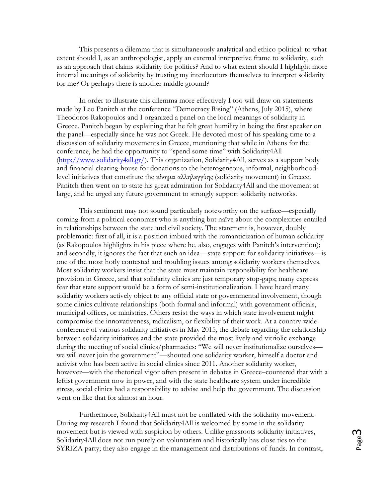This presents a dilemma that is simultaneously analytical and ethico-political: to what extent should I, as an anthropologist, apply an external interpretive frame to solidarity, such as an approach that claims solidarity for politics? And to what extent should I highlight more internal meanings of solidarity by trusting my interlocutors themselves to interpret solidarity for me? Or perhaps there is another middle ground?

In order to illustrate this dilemma more effectively I too will draw on statements made by Leo Panitch at the conference "Democracy Rising" (Athens, July 2015), where Theodoros Rakopoulos and I organized a panel on the local meanings of solidarity in Greece. Panitch began by explaining that he felt great humility in being the first speaker on the panel—especially since he was not Greek. He devoted most of his speaking time to a discussion of solidarity movements in Greece, mentioning that while in Athens for the conference, he had the opportunity to "spend some time" with Solidarity4All [\(http://www.solidarity4all.gr/\)](http://www.solidarity4all.gr/). This organization, Solidarity4All, serves as a support body and financial clearing-house for donations to the heterogeneous, informal, neighborhoodlevel initiatives that constitute the κίνημα αλληλεγγύης (solidarity movement) in Greece. Panitch then went on to state his great admiration for Solidarity4All and the movement at large, and he urged any future government to strongly support solidarity networks.

This sentiment may not sound particularly noteworthy on the surface—especially coming from a political economist who is anything but naïve about the complexities entailed in relationships between the state and civil society. The statement is, however, doubly problematic: first of all, it is a position imbued with the romanticization of human solidarity (as Rakopoulos highlights in his piece where he, also, engages with Panitch's intervention); and secondly, it ignores the fact that such an idea—state support for solidarity initiatives—is one of the most hotly contested and troubling issues among solidarity workers themselves. Most solidarity workers insist that the state must maintain responsibility for healthcare provision in Greece, and that solidarity clinics are just temporary stop-gaps; many express fear that state support would be a form of semi-institutionalization. I have heard many solidarity workers actively object to any official state or governmental involvement, though some clinics cultivate relationships (both formal and informal) with government officials, municipal offices, or ministries. Others resist the ways in which state involvement might compromise the innovativeness, radicalism, or flexibility of their work. At a country-wide conference of various solidarity initiatives in May 2015, the debate regarding the relationship between solidarity initiatives and the state provided the most lively and vitriolic exchange during the meeting of social clinics/pharmacies: "We will never institutionalize ourselves we will never join the government"—shouted one solidarity worker, himself a doctor and activist who has been active in social clinics since 2011. Another solidarity worker, however—with the rhetorical vigor often present in debates in Greece–countered that with a leftist government now in power, and with the state healthcare system under incredible stress, social clinics had a responsibility to advise and help the government. The discussion went on like that for almost an hour.

Furthermore, Solidarity4All must not be conflated with the solidarity movement. During my research I found that Solidarity4All is welcomed by some in the solidarity movement but is viewed with suspicion by others. Unlike grassroots solidarity initiatives, Solidarity4All does not run purely on voluntarism and historically has close ties to the SYRIZA party; they also engage in the management and distributions of funds. In contrast,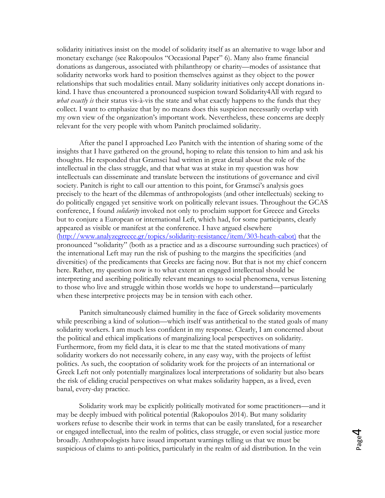solidarity initiatives insist on the model of solidarity itself as an alternative to wage labor and monetary exchange (see Rakopoulos "Occasional Paper" 6). Many also frame financial donations as dangerous, associated with philanthropy or charity—modes of assistance that solidarity networks work hard to position themselves against as they object to the power relationships that such modalities entail. Many solidarity initiatives only accept donations inkind. I have thus encountered a pronounced suspicion toward Solidarity4All with regard to *what exactly is* their status vis-à-vis the state and what exactly happens to the funds that they collect. I want to emphasize that by no means does this suspicion necessarily overlap with my own view of the organization's important work. Nevertheless, these concerns are deeply relevant for the very people with whom Panitch proclaimed solidarity.

After the panel I approached Leo Panitch with the intention of sharing some of the insights that I have gathered on the ground, hoping to relate this tension to him and ask his thoughts. He responded that Gramsci had written in great detail about the role of the intellectual in the class struggle, and that what was at stake in my question was how intellectuals can disseminate and translate between the institutions of governance and civil society. Panitch is right to call our attention to this point, for Gramsci's analysis goes precisely to the heart of the dilemmas of anthropologists (and other intellectuals) seeking to do politically engaged yet sensitive work on politically relevant issues. Throughout the GCAS conference, I found *solidarity* invoked not only to proclaim support for Greece and Greeks but to conjure a European or international Left, which had, for some participants, clearly appeared as visible or manifest at the conference. I have argued elsewhere [\(http://www.analyzegreece.gr/topics/solidarity-resistance/item/303-heath-cabot\)](http://www.analyzegreece.gr/topics/solidarity-resistance/item/303-heath-cabot) that the pronounced "solidarity" (both as a practice and as a discourse surrounding such practices) of the international Left may run the risk of pushing to the margins the specificities (and diversities) of the predicaments that Greeks are facing now. But that is not my chief concern here. Rather, my question now is to what extent an engaged intellectual should be interpreting and ascribing politically relevant meanings to social phenomena, versus listening to those who live and struggle within those worlds we hope to understand—particularly when these interpretive projects may be in tension with each other.

Panitch simultaneously claimed humility in the face of Greek solidarity movements while prescribing a kind of solution—which itself was antithetical to the stated goals of many solidarity workers. I am much less confident in my response. Clearly, I am concerned about the political and ethical implications of marginalizing local perspectives on solidarity. Furthermore, from my field data, it is clear to me that the stated motivations of many solidarity workers do not necessarily cohere, in any easy way, with the projects of leftist politics. As such, the cooptation of solidarity work for the projects of an international or Greek Left not only potentially marginalizes local interpretations of solidarity but also bears the risk of eliding crucial perspectives on what makes solidarity happen, as a lived, even banal, every-day practice.

Solidarity work may be explicitly politically motivated for some practitioners—and it may be deeply imbued with political potential (Rakopoulos 2014). But many solidarity workers refuse to describe their work in terms that can be easily translated, for a researcher or engaged intellectual, into the realm of politics, class struggle, or even social justice more broadly. Anthropologists have issued important warnings telling us that we must be suspicious of claims to anti-politics, particularly in the realm of aid distribution. In the vein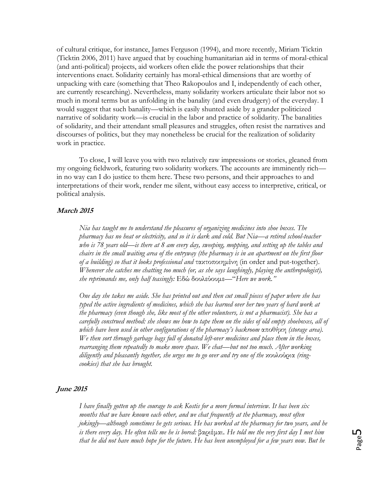of cultural critique, for instance, James Ferguson (1994), and more recently, Miriam Ticktin (Ticktin 2006, 2011) have argued that by couching humanitarian aid in terms of moral-ethical (and anti-political) projects, aid workers often elide the power relationships that their interventions enact. Solidarity certainly has moral-ethical dimensions that are worthy of unpacking with care (something that Theo Rakopoulos and I, independently of each other, are currently researching). Nevertheless, many solidarity workers articulate their labor not so much in moral terms but as unfolding in the banality (and even drudgery) of the everyday. I would suggest that such banality—which is easily shunted aside by a grander politicized narrative of solidarity work—is crucial in the labor and practice of solidarity. The banalities of solidarity, and their attendant small pleasures and struggles, often resist the narratives and discourses of politics, but they may nonetheless be crucial for the realization of solidarity work in practice.

To close, I will leave you with two relatively raw impressions or stories, gleaned from my ongoing fieldwork, featuring two solidarity workers. The accounts are imminently rich in no way can I do justice to them here. These two persons, and their approaches to and interpretations of their work, render me silent, without easy access to interpretive, critical, or political analysis.

## **March 2015**

*Nia has taught me to understand the pleasures of organizing medicines into shoe boxes. The pharmacy has no heat or electricity, and so it is dark and cold. But Nia—a retired school-teacher who is 78 years old—is there at 8 am every day, sweeping, mopping, and setting up the tables and chairs in the small waiting area of the entryway (the pharmacy is in an apartment on the first floor of a building) so that it looks professional and* τακτοποιημένη (in order and put-together). *Whenever she catches me chatting too much (or, as she says laughingly, playing the anthropologist), she reprimands me, only half teasingly:* Εδώ δουλεύουμε—"*Ηere we work."*

*One day she takes me aside. She has printed out and then cut small pieces of paper where she has typed the active ingredients of medicines, which she has learned over her two years of hard work at the pharmacy (even though she, like most of the other volunteers, is not a pharmacist). She has a carefully construed method: she shows me how to tape them on the sides of old empty shoeboxes, all of which have been used in other configurations of the pharmacy's backroom* αποθήκη *(storage area). We then sort through garbage bags full of donated left-over medicines and place them in the boxes, rearranging them repeatedly to make more space. We chat—but not too much. After working diligently and pleasantly together, she urges me to go over and try one of the* κουλούρια *(ringcookies) that she has brought.* 

#### **June 2015**

*I have finally gotten up the courage to ask Kostis for a more formal interview. It has been six months that we have known each other, and we chat frequently at the pharmacy, most often jokingly—although sometimes he gets serious. He has worked at the pharmacy for two years, and he is there every day. He often tells me he is bored:* βαριέμαι. *He told me the very first day I met him that he did not have much hope for the future. He has been unemployed for a few years now. But he*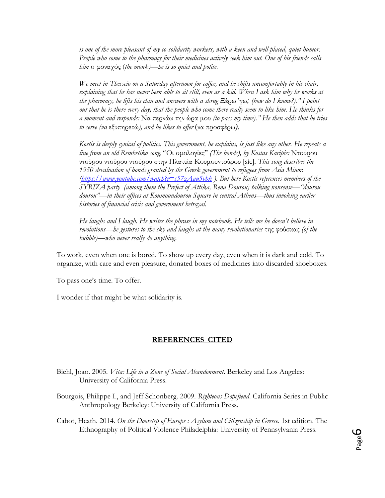*is one of the more pleasant of my co-solidarity workers, with a keen and well-placed, quiet humor. People who come to the pharmacy for their medicines actively seek him out. One of his friends calls him* o μοναχός (*the monk)—he is so quiet and polite.* 

*We meet in Thesseio on a Saturday afternoon for coffee, and he shifts uncomfortably in his chair,*  explaining that he has never been able to sit still, even as a kid. When I ask him why he works at *the pharmacy, he lifts his chin and answers with a shrug* Ξέρω 'γω*; (how do I know?)." I point out that he is there every day, that the people who come there really seem to like him. He thinks for a moment and responds:* Να περνάω την ώρα μου *(to pass my time)." He then adds that he tries to serve (να* εξυπηρετώ*), and he likes to offer* (να προσφέρω*).* 

*Kostis is deeply cynical of politics. This government, he explains, is just like any other. He repeats a line from an old Rembetiko song,"* Οι ομολογίες" *(The bonds), by Kostas Karipis:* Ντούρου ντούρου ντούρου ντούρου στην Πλατεία Κουμουντούρου [sic]*. This song describes the 1930 devaluation of bonds granted by the Greek government to refugees from Asia Minor. [\(https://www.youtube.com/watch?v=s57zAau5vbk](https://www.youtube.com/watch?v=s57zAau5vbk) ). But here Kostis references members of the SYRIZA party (among them the Prefect of Attika, Rena Dourou) talking nonsense—"dourou dourou"—in their offices at Koumoundourou Square in central Athens—thus invoking earlier histories of financial crisis and government betrayal.*

*He laughs and I laugh. He writes the phrase in my notebook. He tells me he doesn't believe in revolutions—he gestures to the sky and laughs at the many revolutionaries* της φούσκας *(of the bubble)—who never really do anything.* 

To work, even when one is bored. To show up every day, even when it is dark and cold. To organize, with care and even pleasure, donated boxes of medicines into discarded shoeboxes.

To pass one's time. To offer.

I wonder if that might be what solidarity is.

## **REFERENCES CITED**

- Biehl, Joao. 2005. *Vita: Life in a Zone of Social Abandonment*. Berkeley and Los Angeles: University of California Press.
- Bourgois, Philippe I., and Jeff Schonberg. 2009. *Righteous Dopefiend*. California Series in Public Anthropology Berkeley: University of California Press.
- Cabot, Heath. 2014. *On the Doorstep of Europe : Asylum and Citizenship in Greece*. 1st edition. The Ethnography of Political Violence Philadelphia: University of Pennsylvania Press.